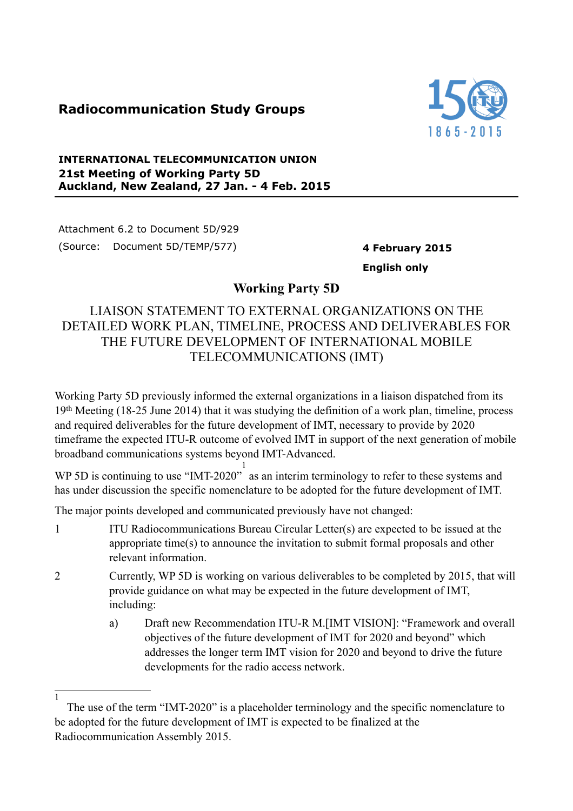## **Radiocommunication Study Groups**



## **INTERNATIONAL TELECOMMUNICATION UNION 21st Meeting of Working Party 5D Auckland, New Zealand, 27 Jan. - 4 Feb. 2015**

Attachment 6.2 to Document 5D/929 (Source: Document 5D/TEMP/577) **4 February 2015**

 $\overline{1}$ 

**English only**

## **Working Party 5D**

## LIAISON STATEMENT TO EXTERNAL ORGANIZATIONS ON THE DETAILED WORK PLAN, TIMELINE, PROCESS AND DELIVERABLES FOR THE FUTURE DEVELOPMENT OF INTERNATIONAL MOBILE TELECOMMUNICATIONS (IMT)

Working Party 5D previously informed the external organizations in a liaison dispatched from its 19th Meeting (18-25 June 2014) that it was studying the definition of a work plan, timeline, process and required deliverables for the future development of IMT, necessary to provide by 2020 timeframe the expected ITU-R outcome of evolved IMT in support of the next generation of mobile broadband communications systems beyond IMT-Advanced.

WP 5D is continuing to use "IMT-2020" as an interim terminology to refer to these systems and 1 has under discussion the specific nomenclature to be adopted for the future development of IMT.

The major points developed and communicated previously have not changed:

- 1 ITU Radiocommunications Bureau Circular Letter(s) are expected to be issued at the appropriate time(s) to announce the invitation to submit formal proposals and other relevant information.
- 2 Currently, WP 5D is working on various deliverables to be completed by 2015, that will provide guidance on what may be expected in the future development of IMT, including:
	- a) Draft new Recommendation ITU-R M.[IMT VISION]: "Framework and overall objectives of the future development of IMT for 2020 and beyond" which addresses the longer term IMT vision for 2020 and beyond to drive the future developments for the radio access network.

The use of the term "IMT-2020" is a placeholder terminology and the specific nomenclature to be adopted for the future development of IMT is expected to be finalized at the Radiocommunication Assembly 2015.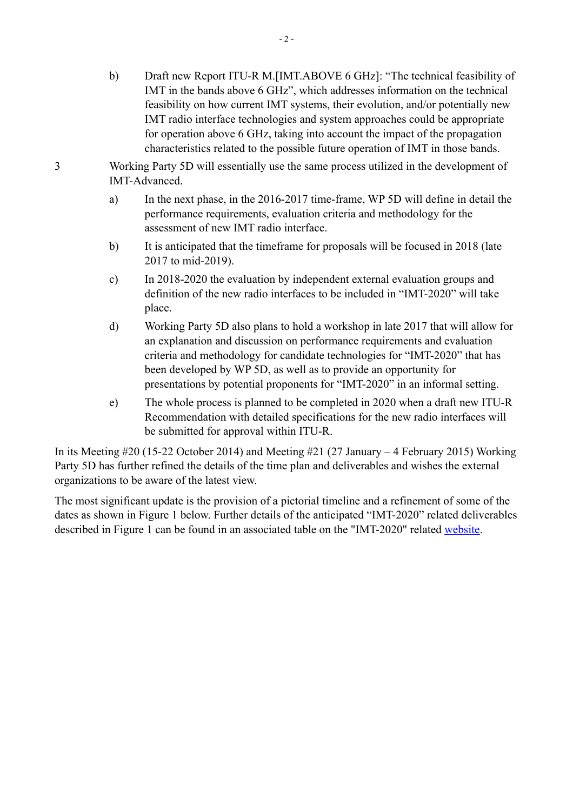- b) Draft new Report ITU-R M.[IMT.ABOVE 6 GHz]: "The technical feasibility of IMT in the bands above 6 GHz", which addresses information on the technical feasibility on how current IMT systems, their evolution, and/or potentially new IMT radio interface technologies and system approaches could be appropriate for operation above 6 GHz, taking into account the impact of the propagation characteristics related to the possible future operation of IMT in those bands.
- 3 Working Party 5D will essentially use the same process utilized in the development of IMT-Advanced.
	- a) In the next phase, in the 2016-2017 time-frame, WP 5D will define in detail the performance requirements, evaluation criteria and methodology for the assessment of new IMT radio interface.
	- b) It is anticipated that the timeframe for proposals will be focused in 2018 (late 2017 to mid-2019).
	- c) In 2018-2020 the evaluation by independent external evaluation groups and definition of the new radio interfaces to be included in "IMT-2020" will take place.
	- d) Working Party 5D also plans to hold a workshop in late 2017 that will allow for an explanation and discussion on performance requirements and evaluation criteria and methodology for candidate technologies for "IMT-2020" that has been developed by WP 5D, as well as to provide an opportunity for presentations by potential proponents for "IMT-2020" in an informal setting.
	- e) The whole process is planned to be completed in 2020 when a draft new ITU-R Recommendation with detailed specifications for the new radio interfaces will be submitted for approval within ITU-R.

In its Meeting #20 (15-22 October 2014) and Meeting #21 (27 January – 4 February 2015) Working Party 5D has further refined the details of the time plan and deliverables and wishes the external organizations to be aware of the latest view.

The most significant update is the provision of a pictorial timeline and a refinement of some of the dates as shown in Figure 1 below. Further details of the anticipated "IMT-2020" related deliverables described in Figure 1 can be found in an associated table on the "IMT-2020" related [website](http://www.itu.int/en/ITU-R/study-groups/rsg5/rwp5d/imt-2020/Pages/default.aspx).